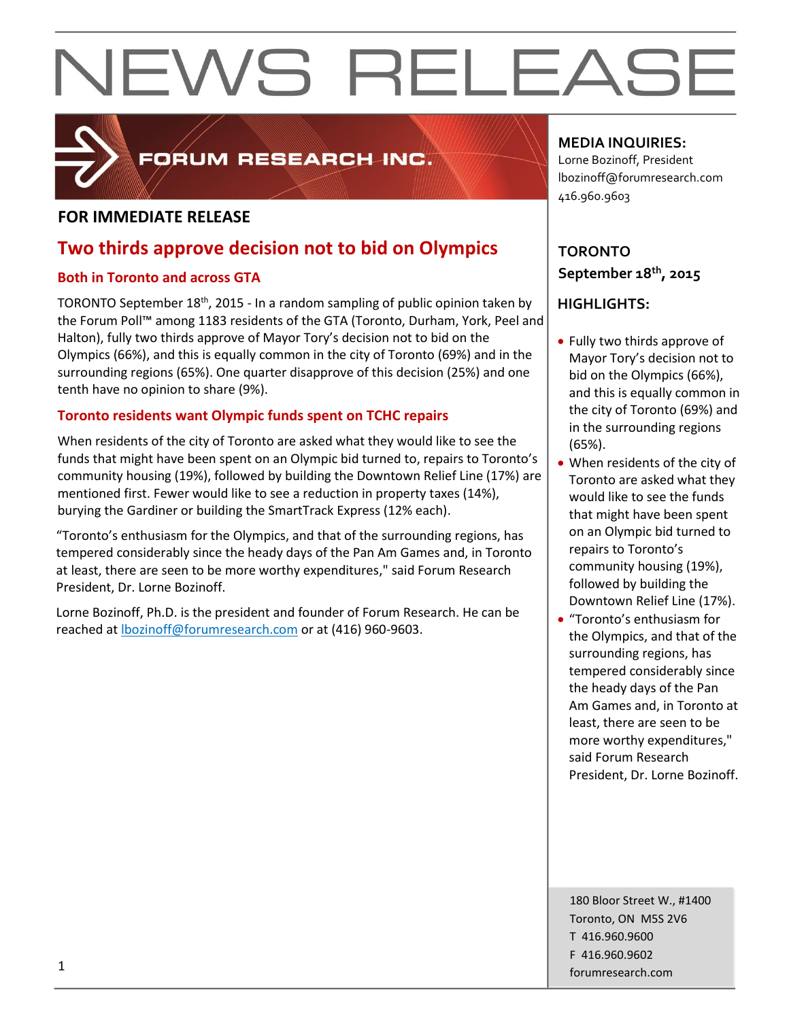

## FORUM RESEARCH INC.

## **FOR IMMEDIATE RELEASE**

## **Two thirds approve decision not to bid on Olympics**

### **Both in Toronto and across GTA**

TORONTO September 18<sup>th</sup>, 2015 - In a random sampling of public opinion taken by the Forum Poll™ among 1183 residents of the GTA (Toronto, Durham, York, Peel and Halton), fully two thirds approve of Mayor Tory's decision not to bid on the Olympics (66%), and this is equally common in the city of Toronto (69%) and in the surrounding regions (65%). One quarter disapprove of this decision (25%) and one tenth have no opinion to share (9%).

### **Toronto residents want Olympic funds spent on TCHC repairs**

When residents of the city of Toronto are asked what they would like to see the funds that might have been spent on an Olympic bid turned to, repairs to Toronto's community housing (19%), followed by building the Downtown Relief Line (17%) are mentioned first. Fewer would like to see a reduction in property taxes (14%), burying the Gardiner or building the SmartTrack Express (12% each).

"Toronto's enthusiasm for the Olympics, and that of the surrounding regions, has tempered considerably since the heady days of the Pan Am Games and, in Toronto at least, there are seen to be more worthy expenditures," said Forum Research President, Dr. Lorne Bozinoff.

Lorne Bozinoff, Ph.D. is the president and founder of Forum Research. He can be reached at [lbozinoff@forumresearch.com](mailto:lbozinoff@forumresearch.com) or at (416) 960-9603.

## **MEDIA INQUIRIES:**

Lorne Bozinoff, President lbozinoff@forumresearch.com 416.960.9603

## **TORONTO September 18th, 2015**

## **HIGHLIGHTS:**

- Fully two thirds approve of Mayor Tory's decision not to bid on the Olympics (66%), and this is equally common in the city of Toronto (69%) and in the surrounding regions (65%).
- When residents of the city of Toronto are asked what they would like to see the funds that might have been spent on an Olympic bid turned to repairs to Toronto's community housing (19%), followed by building the Downtown Relief Line (17%).
- "Toronto's enthusiasm for the Olympics, and that of the surrounding regions, has tempered considerably since the heady days of the Pan Am Games and, in Toronto at least, there are seen to be more worthy expenditures," said Forum Research President, Dr. Lorne Bozinoff.

180 Bloor Street W., #1400 Toronto, ON M5S 2V6 T 416.960.9600 F 416.960.9602 forumresearch.com 1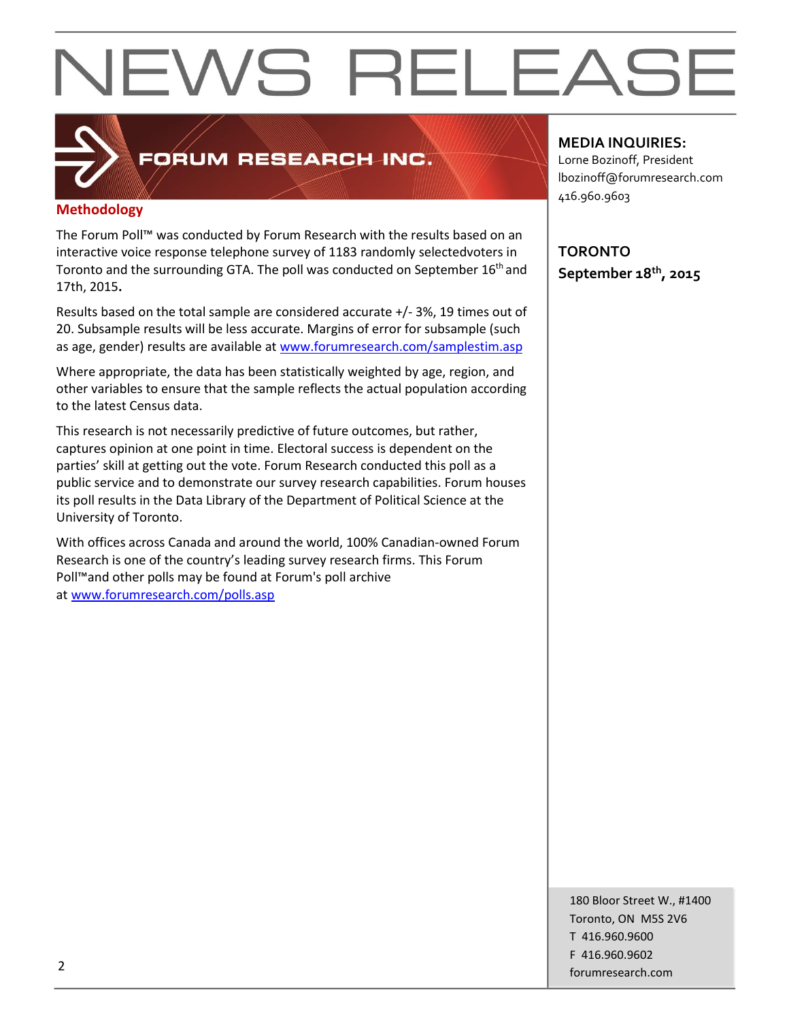## **Methodology**

The Forum Poll™ was conducted by Forum Research with the results based on an interactive voice response telephone survey of 1183 randomly selectedvoters in Toronto and the surrounding GTA. The poll was conducted on September 16<sup>th</sup> and 17th, 2015**.**

FORUM RESEARCH INC.

Results based on the total sample are considered accurate +/- 3%, 19 times out of 20. Subsample results will be less accurate. Margins of error for subsample (such as age, gender) results are available at [www.forumresearch.com/samplestim.asp](http://www.forumresearch.com/samplestim.asp)

Where appropriate, the data has been statistically weighted by age, region, and other variables to ensure that the sample reflects the actual population according to the latest Census data.

This research is not necessarily predictive of future outcomes, but rather, captures opinion at one point in time. Electoral success is dependent on the parties' skill at getting out the vote. Forum Research conducted this poll as a public service and to demonstrate our survey research capabilities. Forum houses its poll results in the Data Library of the Department of Political Science at the University of Toronto.

With offices across Canada and around the world, 100% Canadian-owned Forum Research is one of the country's leading survey research firms. This Forum Poll™and other polls may be found at Forum's poll archive at [www.forumresearch.com/polls.asp](http://www.forumresearch.com/polls.asp)

**MEDIA INQUIRIES:**

Lorne Bozinoff, President lbozinoff@forumresearch.com 416.960.9603

**TORONTO September 18th, 2015**

180 Bloor Street W., #1400 Toronto, ON M5S 2V6 T 416.960.9600 F 416.960.9602 example to the contract of the contract of the contract of the contract of the contract of the contract of the contract of the contract of the contract of the contract of the contract of the contract of the contract of the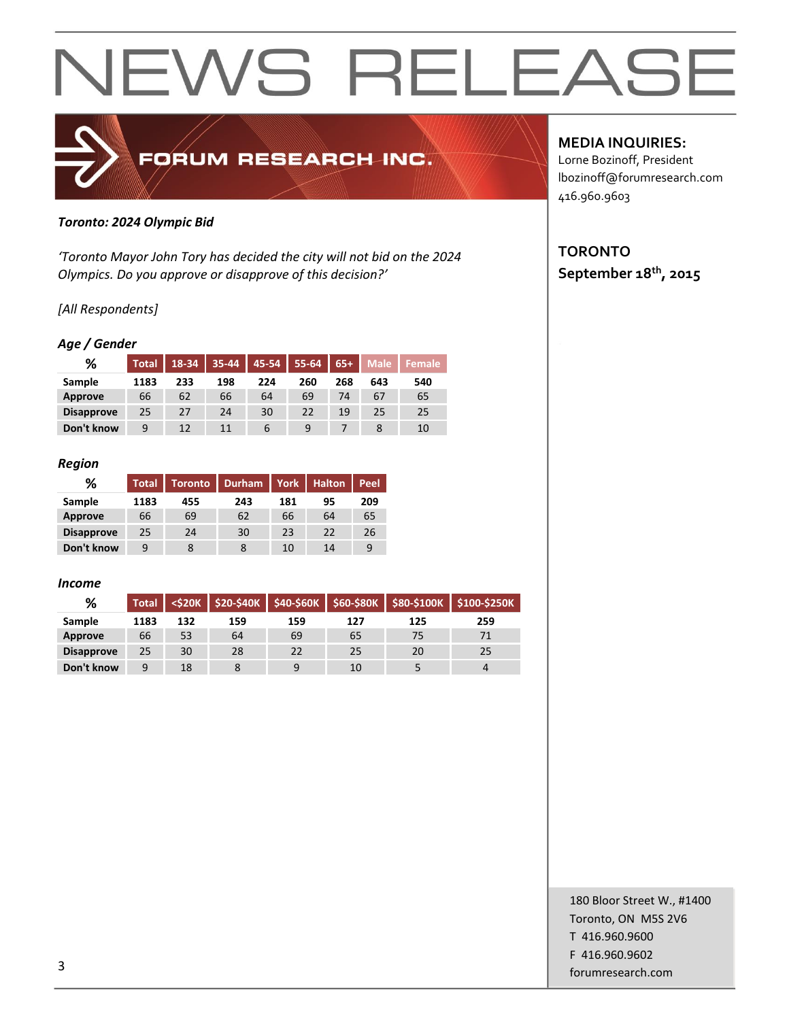

#### *Toronto: 2024 Olympic Bid*

*'Toronto Mayor John Tory has decided the city will not bid on the 2024 Olympics. Do you approve or disapprove of this decision?'*

#### *[All Respondents]*

#### *Age / Gender*

| %                 | <b>Total</b> | 18-34 | $35 - 44$ | $45 - 54$ | $55 - 64$ | $65+$ | <b>Male</b> | <b>Female</b> |
|-------------------|--------------|-------|-----------|-----------|-----------|-------|-------------|---------------|
| Sample            | 1183         | 233   | 198       | 224       | 260       | 268   | 643         | 540           |
| Approve           | 66           | 62    | 66        | 64        | 69        | 74    | 67          | 65            |
| <b>Disapprove</b> | 25           | 27    | 24        | 30        | 22        | 19    | 25          | 25            |
| Don't know        | 9            | 12    | 11        | 6         | 9         |       |             | 10            |

#### *Region*

| %                 | Total <sup>'</sup> | <b>Toronto</b> | <b>Durham</b> | York | <b>Halton</b> | Peel |
|-------------------|--------------------|----------------|---------------|------|---------------|------|
| Sample            | 1183               | 455            | 243           | 181  | 95            | 209  |
| <b>Approve</b>    | 66                 | 69             | 62            | 66   | 64            | 65   |
| <b>Disapprove</b> | 25                 | 24             | 30            | 23   | 22            | 26   |
| Don't know        | 9                  | 8              | 8             | 10   | 14            | 9    |

#### *Income*

| %                 | <b>Total</b> |     |     |     |     | <\$20K \$20-\$40K \$40-\$60K \$60-\$80K \$80-\$100K | \$100-\$250K |
|-------------------|--------------|-----|-----|-----|-----|-----------------------------------------------------|--------------|
| Sample            | 1183         | 132 | 159 | 159 | 127 | 125                                                 | 259          |
| Approve           | 66           | 53  | 64  | 69  | 65  | 75                                                  |              |
| <b>Disapprove</b> | 25           | 30  | 28  | 22  | 25  | 20                                                  | 25           |
| Don't know        | 9            | 18  |     | 9   | 10  |                                                     | Д            |

### **MEDIA INQUIRIES:**

Lorne Bozinoff, President lbozinoff@forumresearch.com 416.960.9603

## **TORONTO September 18th, 2015**

180 Bloor Street W., #1400 Toronto, ON M5S 2V6 T 416.960.9600 F 416.960.9602 forumresearch.com and the set of the set of the set of the set of the set of the set of the set of the set of the set of the set of the set of the set of the set of the set of the set of the set of the set of the set of th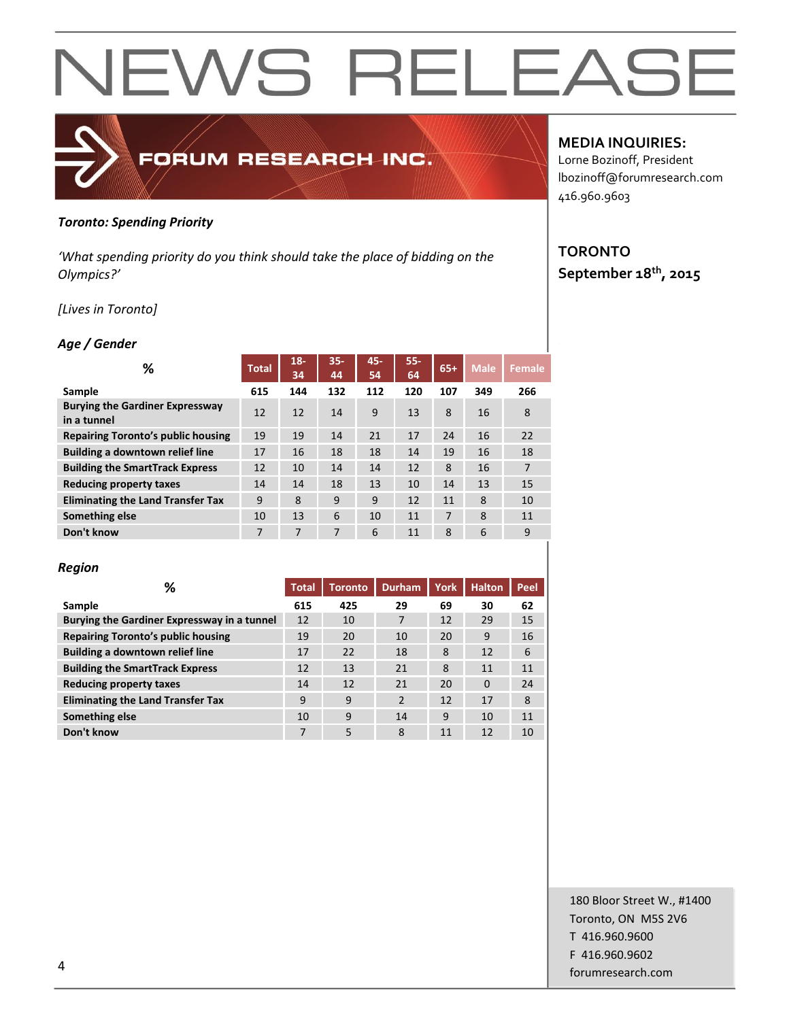#### *Toronto: Spending Priority*

*'What spending priority do you think should take the place of bidding on the Olympics?'*

FORUM RESEARCH INC.

#### *[Lives in Toronto]*

#### *Age / Gender*

| ℅                                                     | <b>Total</b> | $18 -$<br>34 | $35 -$<br>44 | 45-<br>54 | $55 -$<br>64 | $65+$          | <b>Male</b> | <b>Female</b>  |
|-------------------------------------------------------|--------------|--------------|--------------|-----------|--------------|----------------|-------------|----------------|
| Sample                                                | 615          | 144          | 132          | 112       | 120          | 107            | 349         | 266            |
| <b>Burying the Gardiner Expressway</b><br>in a tunnel | 12           | 12           | 14           | 9         | 13           | 8              | 16          | 8              |
| <b>Repairing Toronto's public housing</b>             | 19           | 19           | 14           | 21        | 17           | 24             | 16          | 22             |
| <b>Building a downtown relief line</b>                | 17           | 16           | 18           | 18        | 14           | 19             | 16          | 18             |
| <b>Building the SmartTrack Express</b>                | 12           | 10           | 14           | 14        | 12           | 8              | 16          | $\overline{7}$ |
| <b>Reducing property taxes</b>                        | 14           | 14           | 18           | 13        | 10           | 14             | 13          | 15             |
| <b>Eliminating the Land Transfer Tax</b>              | 9            | 8            | 9            | 9         | 12           | 11             | 8           | 10             |
| Something else                                        | 10           | 13           | 6            | 10        | 11           | $\overline{7}$ | 8           | 11             |
| Don't know                                            | 7            | 7            | 7            | 6         | 11           | 8              | 6           | 9              |

#### *Region*

| ℅                                           | <b>Total</b> | <b>Toronto</b> | <b>Durham</b> | <b>York</b> | <b>Halton</b> | Peel |
|---------------------------------------------|--------------|----------------|---------------|-------------|---------------|------|
| Sample                                      | 615          | 425            | 29            | 69          | 30            | 62   |
| Burying the Gardiner Expressway in a tunnel | 12           | 10             |               | 12          | 29            | 15   |
| <b>Repairing Toronto's public housing</b>   | 19           | 20             | 10            | 20          | 9             | 16   |
| <b>Building a downtown relief line</b>      | 17           | 22             | 18            | 8           | 12            | 6    |
| <b>Building the SmartTrack Express</b>      | 12           | 13             | 21            | 8           | 11            | 11   |
| <b>Reducing property taxes</b>              | 14           | 12             | 21            | 20          | $\Omega$      | 24   |
| <b>Eliminating the Land Transfer Tax</b>    | 9            | 9              | 2             | 12          | 17            | 8    |
| Something else                              | 10           | 9              | 14            | 9           | 10            | 11   |
| Don't know                                  | 7            | 5              | 8             | 11          | 12            | 10   |

#### **MEDIA INQUIRIES:**

Lorne Bozinoff, President lbozinoff@forumresearch.com 416.960.9603

## **TORONTO September 18th, 2015**

180 Bloor Street W., #1400 Toronto, ON M5S 2V6 T 416.960.9600 F 416.960.9602 example to the contract of the contract of the contract of the contract of the contract of the contract of the contract of the contract of the contract of the contract of the contract of the contract of the contract of the